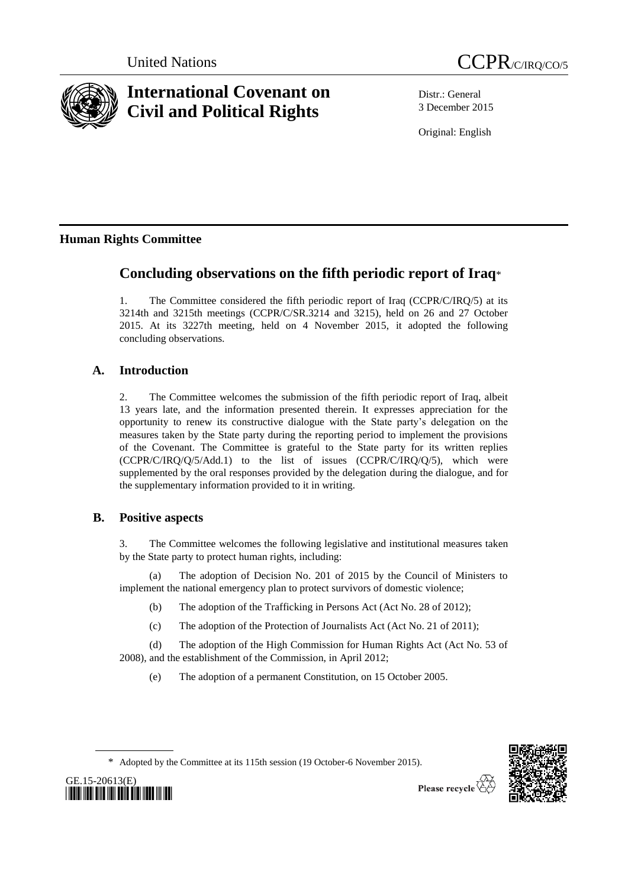



# **International Covenant on Civil and Political Rights**

Distr.: General 3 December 2015

Original: English

## **Human Rights Committee**

## **Concluding observations on the fifth periodic report of Iraq**\*

1. The Committee considered the fifth periodic report of Iraq (CCPR/C/IRQ/5) at its 3214th and 3215th meetings (CCPR/C/SR.3214 and 3215), held on 26 and 27 October 2015. At its 3227th meeting, held on 4 November 2015, it adopted the following concluding observations.

## **A. Introduction**

2. The Committee welcomes the submission of the fifth periodic report of Iraq, albeit 13 years late, and the information presented therein. It expresses appreciation for the opportunity to renew its constructive dialogue with the State party's delegation on the measures taken by the State party during the reporting period to implement the provisions of the Covenant. The Committee is grateful to the State party for its written replies (CCPR/C/IRQ/Q/5/Add.1) to the list of issues (CCPR/C/IRQ/Q/5), which were supplemented by the oral responses provided by the delegation during the dialogue, and for the supplementary information provided to it in writing.

## **B. Positive aspects**

GE.15-20613(E)

*\*1520613\**

3. The Committee welcomes the following legislative and institutional measures taken by the State party to protect human rights, including:

(a) The adoption of Decision No. 201 of 2015 by the Council of Ministers to implement the national emergency plan to protect survivors of domestic violence;

- (b) The adoption of the Trafficking in Persons Act (Act No. 28 of 2012);
- (c) The adoption of the Protection of Journalists Act (Act No. 21 of 2011);

(d) The adoption of the High Commission for Human Rights Act (Act No. 53 of 2008), and the establishment of the Commission, in April 2012;

(e) The adoption of a permanent Constitution, on 15 October 2005.



Please recycle  $\mathfrak{S}$ 

<sup>\*</sup> Adopted by the Committee at its 115th session (19 October-6 November 2015).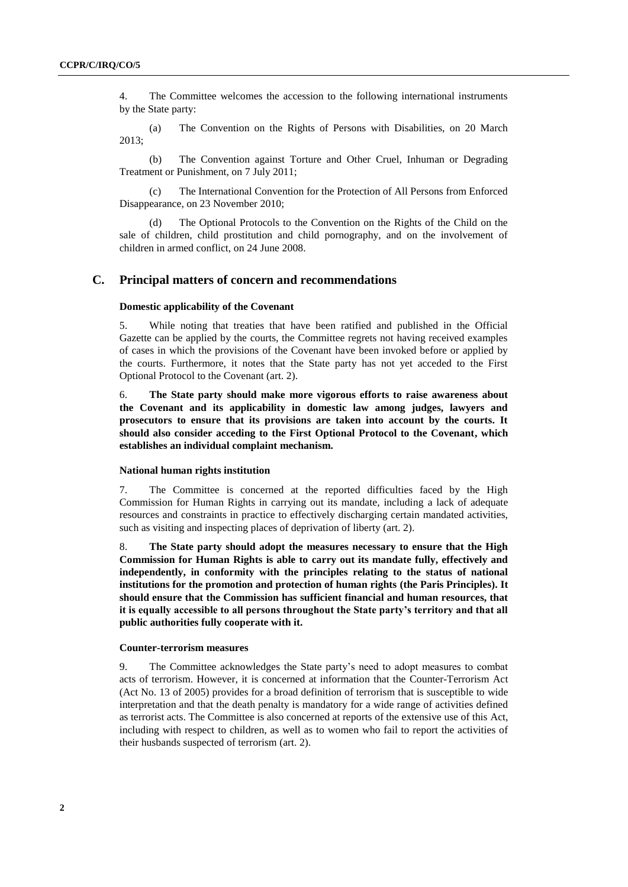4. The Committee welcomes the accession to the following international instruments by the State party:

(a) The Convention on the Rights of Persons with Disabilities, on 20 March 2013;

(b) The Convention against Torture and Other Cruel, Inhuman or Degrading Treatment or Punishment, on 7 July 2011;

(c) The International Convention for the Protection of All Persons from Enforced Disappearance, on 23 November 2010;

(d) The Optional Protocols to the Convention on the Rights of the Child on the sale of children, child prostitution and child pornography, and on the involvement of children in armed conflict, on 24 June 2008.

#### **C. Principal matters of concern and recommendations**

#### **Domestic applicability of the Covenant**

5. While noting that treaties that have been ratified and published in the Official Gazette can be applied by the courts, the Committee regrets not having received examples of cases in which the provisions of the Covenant have been invoked before or applied by the courts. Furthermore, it notes that the State party has not yet acceded to the First Optional Protocol to the Covenant (art. 2).

6. **The State party should make more vigorous efforts to raise awareness about the Covenant and its applicability in domestic law among judges, lawyers and prosecutors to ensure that its provisions are taken into account by the courts. It should also consider acceding to the First Optional Protocol to the Covenant, which establishes an individual complaint mechanism.**

#### **National human rights institution**

7. The Committee is concerned at the reported difficulties faced by the High Commission for Human Rights in carrying out its mandate, including a lack of adequate resources and constraints in practice to effectively discharging certain mandated activities, such as visiting and inspecting places of deprivation of liberty (art. 2).

8. **The State party should adopt the measures necessary to ensure that the High Commission for Human Rights is able to carry out its mandate fully, effectively and independently, in conformity with the principles relating to the status of national institutions for the promotion and protection of human rights (the Paris Principles). It should ensure that the Commission has sufficient financial and human resources, that it is equally accessible to all persons throughout the State party's territory and that all public authorities fully cooperate with it.**

#### **Counter-terrorism measures**

9. The Committee acknowledges the State party's need to adopt measures to combat acts of terrorism. However, it is concerned at information that the Counter-Terrorism Act (Act No. 13 of 2005) provides for a broad definition of terrorism that is susceptible to wide interpretation and that the death penalty is mandatory for a wide range of activities defined as terrorist acts. The Committee is also concerned at reports of the extensive use of this Act, including with respect to children, as well as to women who fail to report the activities of their husbands suspected of terrorism (art. 2).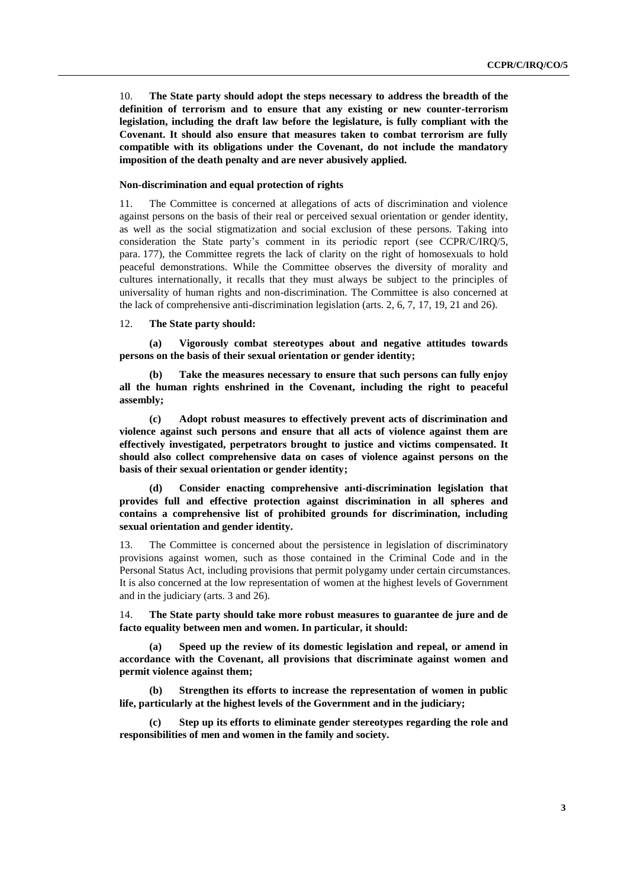10. **The State party should adopt the steps necessary to address the breadth of the definition of terrorism and to ensure that any existing or new counter-terrorism legislation, including the draft law before the legislature, is fully compliant with the Covenant. It should also ensure that measures taken to combat terrorism are fully compatible with its obligations under the Covenant, do not include the mandatory imposition of the death penalty and are never abusively applied.**

#### **Non-discrimination and equal protection of rights**

11. The Committee is concerned at allegations of acts of discrimination and violence against persons on the basis of their real or perceived sexual orientation or gender identity, as well as the social stigmatization and social exclusion of these persons. Taking into consideration the State party's comment in its periodic report (see CCPR/C/IRQ/5, para. 177), the Committee regrets the lack of clarity on the right of homosexuals to hold peaceful demonstrations. While the Committee observes the diversity of morality and cultures internationally, it recalls that they must always be subject to the principles of universality of human rights and non-discrimination. The Committee is also concerned at the lack of comprehensive anti-discrimination legislation (arts. 2, 6, 7, 17, 19, 21 and 26).

#### 12. **The State party should:**

**(a) Vigorously combat stereotypes about and negative attitudes towards persons on the basis of their sexual orientation or gender identity;**

**(b) Take the measures necessary to ensure that such persons can fully enjoy all the human rights enshrined in the Covenant, including the right to peaceful assembly;**

**(c) Adopt robust measures to effectively prevent acts of discrimination and violence against such persons and ensure that all acts of violence against them are effectively investigated, perpetrators brought to justice and victims compensated. It should also collect comprehensive data on cases of violence against persons on the basis of their sexual orientation or gender identity;**

**(d) Consider enacting comprehensive anti-discrimination legislation that provides full and effective protection against discrimination in all spheres and contains a comprehensive list of prohibited grounds for discrimination, including sexual orientation and gender identity.**

13. The Committee is concerned about the persistence in legislation of discriminatory provisions against women, such as those contained in the Criminal Code and in the Personal Status Act, including provisions that permit polygamy under certain circumstances. It is also concerned at the low representation of women at the highest levels of Government and in the judiciary (arts. 3 and 26).

14. **The State party should take more robust measures to guarantee de jure and de facto equality between men and women. In particular, it should:**

**(a) Speed up the review of its domestic legislation and repeal, or amend in accordance with the Covenant, all provisions that discriminate against women and permit violence against them;**

**(b) Strengthen its efforts to increase the representation of women in public life, particularly at the highest levels of the Government and in the judiciary;**

**(c) Step up its efforts to eliminate gender stereotypes regarding the role and responsibilities of men and women in the family and society.**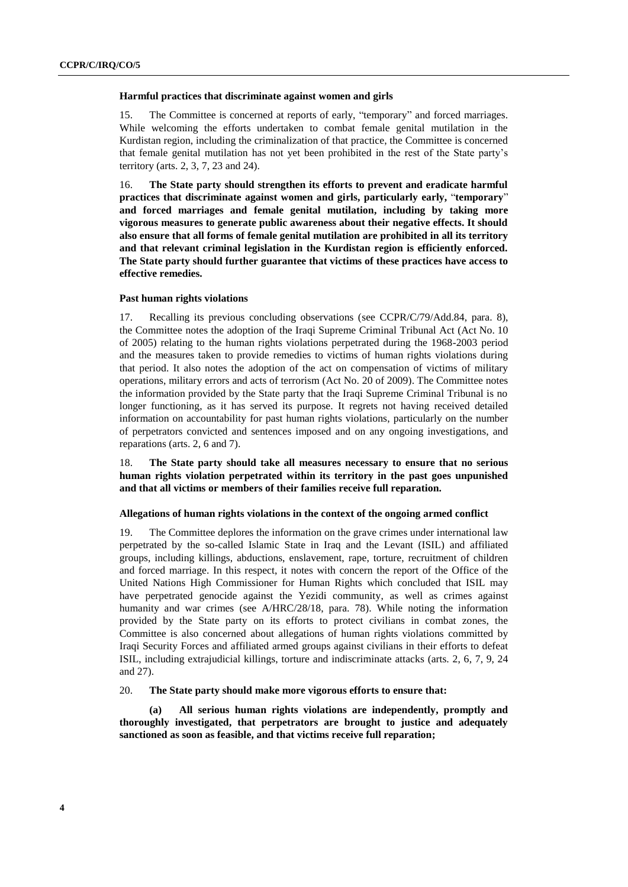#### **Harmful practices that discriminate against women and girls**

15. The Committee is concerned at reports of early, "temporary" and forced marriages. While welcoming the efforts undertaken to combat female genital mutilation in the Kurdistan region, including the criminalization of that practice, the Committee is concerned that female genital mutilation has not yet been prohibited in the rest of the State party's territory (arts. 2, 3, 7, 23 and 24).

16. **The State party should strengthen its efforts to prevent and eradicate harmful practices that discriminate against women and girls, particularly early,** "**temporary**" **and forced marriages and female genital mutilation, including by taking more vigorous measures to generate public awareness about their negative effects. It should also ensure that all forms of female genital mutilation are prohibited in all its territory and that relevant criminal legislation in the Kurdistan region is efficiently enforced. The State party should further guarantee that victims of these practices have access to effective remedies.**

#### **Past human rights violations**

17. Recalling its previous concluding observations (see CCPR/C/79/Add.84, para. 8), the Committee notes the adoption of the Iraqi Supreme Criminal Tribunal Act (Act No. 10 of 2005) relating to the human rights violations perpetrated during the 1968-2003 period and the measures taken to provide remedies to victims of human rights violations during that period. It also notes the adoption of the act on compensation of victims of military operations, military errors and acts of terrorism (Act No. 20 of 2009). The Committee notes the information provided by the State party that the Iraqi Supreme Criminal Tribunal is no longer functioning, as it has served its purpose. It regrets not having received detailed information on accountability for past human rights violations, particularly on the number of perpetrators convicted and sentences imposed and on any ongoing investigations, and reparations (arts. 2, 6 and 7).

18. **The State party should take all measures necessary to ensure that no serious human rights violation perpetrated within its territory in the past goes unpunished and that all victims or members of their families receive full reparation.**

#### **Allegations of human rights violations in the context of the ongoing armed conflict**

19. The Committee deplores the information on the grave crimes under international law perpetrated by the so-called Islamic State in Iraq and the Levant (ISIL) and affiliated groups, including killings, abductions, enslavement, rape, torture, recruitment of children and forced marriage. In this respect, it notes with concern the report of the Office of the United Nations High Commissioner for Human Rights which concluded that ISIL may have perpetrated genocide against the Yezidi community, as well as crimes against humanity and war crimes (see A/HRC/28/18, para. 78). While noting the information provided by the State party on its efforts to protect civilians in combat zones, the Committee is also concerned about allegations of human rights violations committed by Iraqi Security Forces and affiliated armed groups against civilians in their efforts to defeat ISIL, including extrajudicial killings, torture and indiscriminate attacks (arts. 2, 6, 7, 9, 24 and 27).

#### 20. **The State party should make more vigorous efforts to ensure that:**

**(a) All serious human rights violations are independently, promptly and thoroughly investigated, that perpetrators are brought to justice and adequately sanctioned as soon as feasible, and that victims receive full reparation;**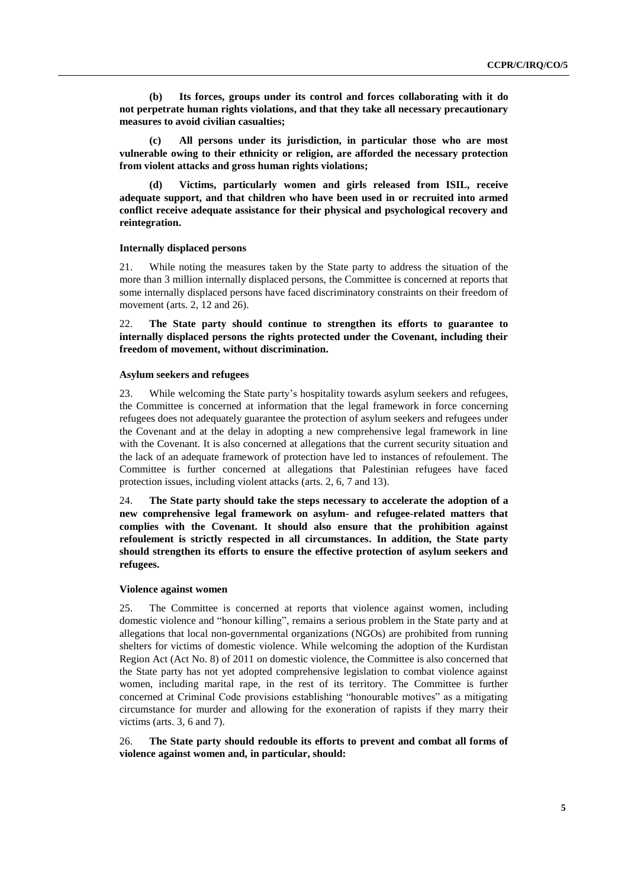**(b) Its forces, groups under its control and forces collaborating with it do not perpetrate human rights violations, and that they take all necessary precautionary measures to avoid civilian casualties;**

**(c) All persons under its jurisdiction, in particular those who are most vulnerable owing to their ethnicity or religion, are afforded the necessary protection from violent attacks and gross human rights violations;**

**(d) Victims, particularly women and girls released from ISIL, receive adequate support, and that children who have been used in or recruited into armed conflict receive adequate assistance for their physical and psychological recovery and reintegration.**

#### **Internally displaced persons**

21. While noting the measures taken by the State party to address the situation of the more than 3 million internally displaced persons, the Committee is concerned at reports that some internally displaced persons have faced discriminatory constraints on their freedom of movement (arts. 2, 12 and 26).

22. **The State party should continue to strengthen its efforts to guarantee to internally displaced persons the rights protected under the Covenant, including their freedom of movement, without discrimination.**

#### **Asylum seekers and refugees**

23. While welcoming the State party's hospitality towards asylum seekers and refugees, the Committee is concerned at information that the legal framework in force concerning refugees does not adequately guarantee the protection of asylum seekers and refugees under the Covenant and at the delay in adopting a new comprehensive legal framework in line with the Covenant. It is also concerned at allegations that the current security situation and the lack of an adequate framework of protection have led to instances of refoulement. The Committee is further concerned at allegations that Palestinian refugees have faced protection issues, including violent attacks (arts. 2, 6, 7 and 13).

24. **The State party should take the steps necessary to accelerate the adoption of a new comprehensive legal framework on asylum- and refugee-related matters that complies with the Covenant. It should also ensure that the prohibition against refoulement is strictly respected in all circumstances. In addition, the State party should strengthen its efforts to ensure the effective protection of asylum seekers and refugees.**

#### **Violence against women**

25. The Committee is concerned at reports that violence against women, including domestic violence and "honour killing", remains a serious problem in the State party and at allegations that local non-governmental organizations (NGOs) are prohibited from running shelters for victims of domestic violence. While welcoming the adoption of the Kurdistan Region Act (Act No. 8) of 2011 on domestic violence, the Committee is also concerned that the State party has not yet adopted comprehensive legislation to combat violence against women, including marital rape, in the rest of its territory. The Committee is further concerned at Criminal Code provisions establishing "honourable motives" as a mitigating circumstance for murder and allowing for the exoneration of rapists if they marry their victims (arts. 3, 6 and 7).

#### 26. **The State party should redouble its efforts to prevent and combat all forms of violence against women and, in particular, should:**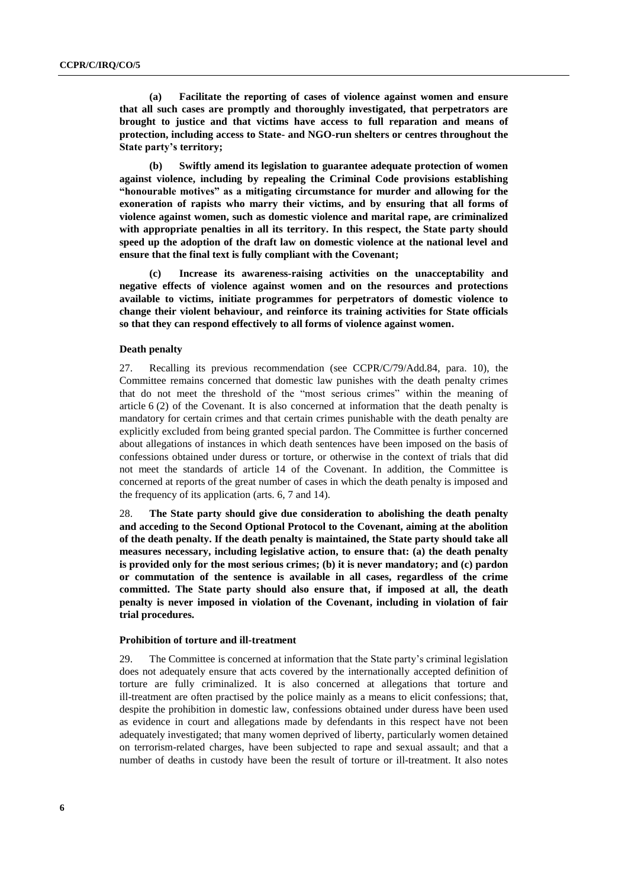**(a) Facilitate the reporting of cases of violence against women and ensure that all such cases are promptly and thoroughly investigated, that perpetrators are brought to justice and that victims have access to full reparation and means of protection, including access to State- and NGO-run shelters or centres throughout the State party's territory;**

**(b) Swiftly amend its legislation to guarantee adequate protection of women against violence, including by repealing the Criminal Code provisions establishing "honourable motives" as a mitigating circumstance for murder and allowing for the exoneration of rapists who marry their victims, and by ensuring that all forms of violence against women, such as domestic violence and marital rape, are criminalized with appropriate penalties in all its territory. In this respect, the State party should speed up the adoption of the draft law on domestic violence at the national level and ensure that the final text is fully compliant with the Covenant;**

**(c) Increase its awareness-raising activities on the unacceptability and negative effects of violence against women and on the resources and protections available to victims, initiate programmes for perpetrators of domestic violence to change their violent behaviour, and reinforce its training activities for State officials so that they can respond effectively to all forms of violence against women.**

#### **Death penalty**

27. Recalling its previous recommendation (see CCPR/C/79/Add.84, para. 10), the Committee remains concerned that domestic law punishes with the death penalty crimes that do not meet the threshold of the "most serious crimes" within the meaning of article 6 (2) of the Covenant. It is also concerned at information that the death penalty is mandatory for certain crimes and that certain crimes punishable with the death penalty are explicitly excluded from being granted special pardon. The Committee is further concerned about allegations of instances in which death sentences have been imposed on the basis of confessions obtained under duress or torture, or otherwise in the context of trials that did not meet the standards of article 14 of the Covenant. In addition, the Committee is concerned at reports of the great number of cases in which the death penalty is imposed and the frequency of its application (arts. 6, 7 and 14).

28. **The State party should give due consideration to abolishing the death penalty and acceding to the Second Optional Protocol to the Covenant, aiming at the abolition of the death penalty. If the death penalty is maintained, the State party should take all measures necessary, including legislative action, to ensure that: (a) the death penalty is provided only for the most serious crimes; (b) it is never mandatory; and (c) pardon or commutation of the sentence is available in all cases, regardless of the crime committed. The State party should also ensure that, if imposed at all, the death penalty is never imposed in violation of the Covenant, including in violation of fair trial procedures.**

#### **Prohibition of torture and ill-treatment**

29. The Committee is concerned at information that the State party's criminal legislation does not adequately ensure that acts covered by the internationally accepted definition of torture are fully criminalized. It is also concerned at allegations that torture and ill-treatment are often practised by the police mainly as a means to elicit confessions; that, despite the prohibition in domestic law, confessions obtained under duress have been used as evidence in court and allegations made by defendants in this respect have not been adequately investigated; that many women deprived of liberty, particularly women detained on terrorism-related charges, have been subjected to rape and sexual assault; and that a number of deaths in custody have been the result of torture or ill-treatment. It also notes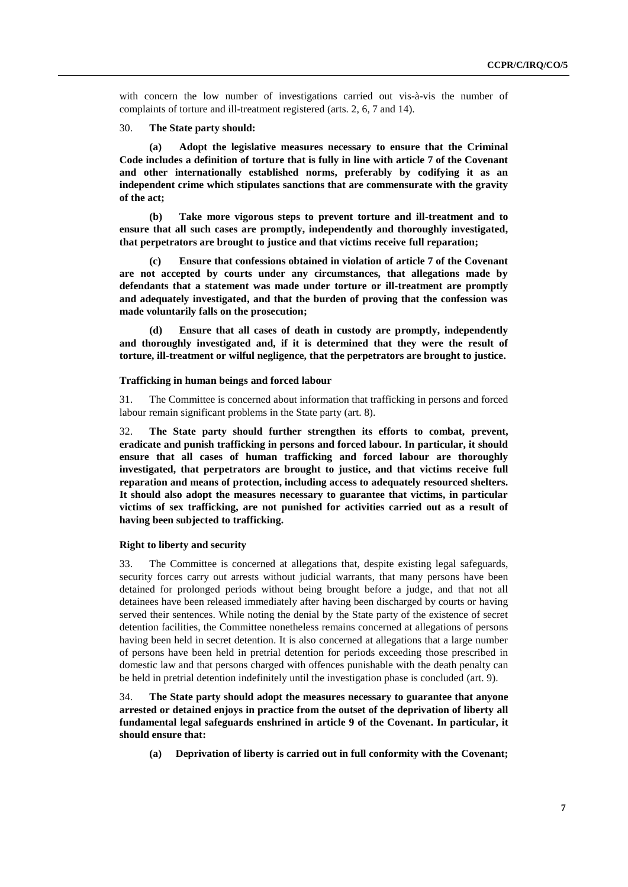with concern the low number of investigations carried out vis-à-vis the number of complaints of torture and ill-treatment registered (arts. 2, 6, 7 and 14).

30. **The State party should:**

**(a) Adopt the legislative measures necessary to ensure that the Criminal Code includes a definition of torture that is fully in line with article 7 of the Covenant and other internationally established norms, preferably by codifying it as an independent crime which stipulates sanctions that are commensurate with the gravity of the act;**

**(b) Take more vigorous steps to prevent torture and ill-treatment and to ensure that all such cases are promptly, independently and thoroughly investigated, that perpetrators are brought to justice and that victims receive full reparation;**

**(c) Ensure that confessions obtained in violation of article 7 of the Covenant are not accepted by courts under any circumstances, that allegations made by defendants that a statement was made under torture or ill-treatment are promptly and adequately investigated, and that the burden of proving that the confession was made voluntarily falls on the prosecution;**

**(d) Ensure that all cases of death in custody are promptly, independently and thoroughly investigated and, if it is determined that they were the result of torture, ill-treatment or wilful negligence, that the perpetrators are brought to justice.**

#### **Trafficking in human beings and forced labour**

31. The Committee is concerned about information that trafficking in persons and forced labour remain significant problems in the State party (art. 8).

32. **The State party should further strengthen its efforts to combat, prevent, eradicate and punish trafficking in persons and forced labour. In particular, it should ensure that all cases of human trafficking and forced labour are thoroughly investigated, that perpetrators are brought to justice, and that victims receive full reparation and means of protection, including access to adequately resourced shelters. It should also adopt the measures necessary to guarantee that victims, in particular victims of sex trafficking, are not punished for activities carried out as a result of having been subjected to trafficking.**

#### **Right to liberty and security**

33. The Committee is concerned at allegations that, despite existing legal safeguards, security forces carry out arrests without judicial warrants, that many persons have been detained for prolonged periods without being brought before a judge, and that not all detainees have been released immediately after having been discharged by courts or having served their sentences. While noting the denial by the State party of the existence of secret detention facilities, the Committee nonetheless remains concerned at allegations of persons having been held in secret detention. It is also concerned at allegations that a large number of persons have been held in pretrial detention for periods exceeding those prescribed in domestic law and that persons charged with offences punishable with the death penalty can be held in pretrial detention indefinitely until the investigation phase is concluded (art. 9).

34. **The State party should adopt the measures necessary to guarantee that anyone arrested or detained enjoys in practice from the outset of the deprivation of liberty all fundamental legal safeguards enshrined in article 9 of the Covenant. In particular, it should ensure that:**

**(a) Deprivation of liberty is carried out in full conformity with the Covenant;**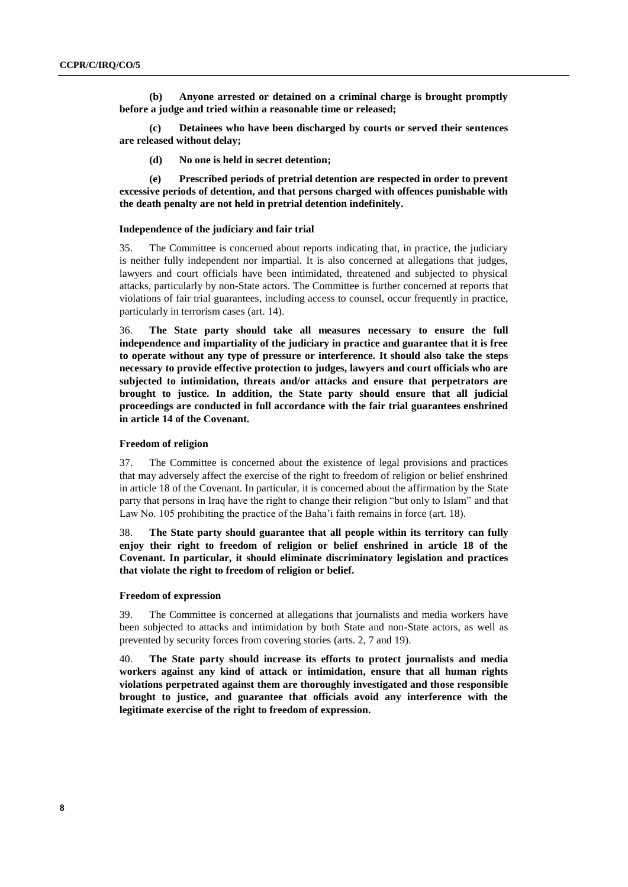**(b) Anyone arrested or detained on a criminal charge is brought promptly before a judge and tried within a reasonable time or released;**

**(c) Detainees who have been discharged by courts or served their sentences are released without delay;**

**(d) No one is held in secret detention;**

**(e) Prescribed periods of pretrial detention are respected in order to prevent excessive periods of detention, and that persons charged with offences punishable with the death penalty are not held in pretrial detention indefinitely.**

#### **Independence of the judiciary and fair trial**

35. The Committee is concerned about reports indicating that, in practice, the judiciary is neither fully independent nor impartial. It is also concerned at allegations that judges, lawyers and court officials have been intimidated, threatened and subjected to physical attacks, particularly by non-State actors. The Committee is further concerned at reports that violations of fair trial guarantees, including access to counsel, occur frequently in practice, particularly in terrorism cases (art. 14).

36. **The State party should take all measures necessary to ensure the full independence and impartiality of the judiciary in practice and guarantee that it is free to operate without any type of pressure or interference. It should also take the steps necessary to provide effective protection to judges, lawyers and court officials who are subjected to intimidation, threats and/or attacks and ensure that perpetrators are brought to justice. In addition, the State party should ensure that all judicial proceedings are conducted in full accordance with the fair trial guarantees enshrined in article 14 of the Covenant.**

#### **Freedom of religion**

37. The Committee is concerned about the existence of legal provisions and practices that may adversely affect the exercise of the right to freedom of religion or belief enshrined in article 18 of the Covenant. In particular, it is concerned about the affirmation by the State party that persons in Iraq have the right to change their religion "but only to Islam" and that Law No. 105 prohibiting the practice of the Baha'i faith remains in force (art. 18).

38. **The State party should guarantee that all people within its territory can fully enjoy their right to freedom of religion or belief enshrined in article 18 of the Covenant. In particular, it should eliminate discriminatory legislation and practices that violate the right to freedom of religion or belief.**

#### **Freedom of expression**

39. The Committee is concerned at allegations that journalists and media workers have been subjected to attacks and intimidation by both State and non-State actors, as well as prevented by security forces from covering stories (arts. 2, 7 and 19).

40. **The State party should increase its efforts to protect journalists and media workers against any kind of attack or intimidation, ensure that all human rights violations perpetrated against them are thoroughly investigated and those responsible brought to justice, and guarantee that officials avoid any interference with the legitimate exercise of the right to freedom of expression.**